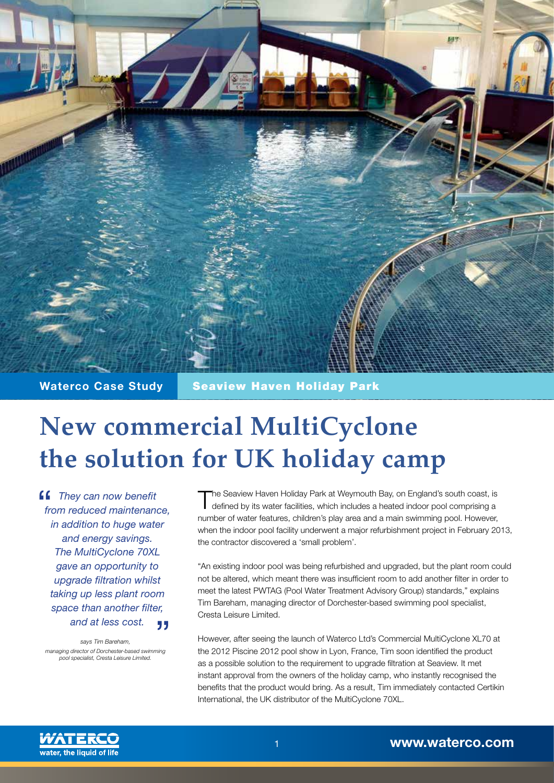

**Waterco Case Study Seaview Haven Holiday Park** 

## **New commercial MultiCyclone the solution for UK holiday camp**

*They can now benefit from reduced maintenance, in addition to huge water and energy savings. The MultiCyclone 70XL gave an opportunity to upgrade filtration whilst taking up less plant room space than another filter, and at less cost.*  55

*says Tim Bareham, managing director of Dorchester-based swimming pool specialist, Cresta Leisure Limited.*

The Seaview Haven Holiday Park at Weymouth Bay, on England's south coast, is defined by its water facilities, which includes a heated indoor pool comprising a number of water features, children's play area and a main swimming pool. However, when the indoor pool facility underwent a major refurbishment project in February 2013, the contractor discovered a 'small problem'.

"An existing indoor pool was being refurbished and upgraded, but the plant room could not be altered, which meant there was insufficient room to add another filter in order to meet the latest PWTAG (Pool Water Treatment Advisory Group) standards," explains Tim Bareham, managing director of Dorchester-based swimming pool specialist, Cresta Leisure Limited.

However, after seeing the launch of Waterco Ltd's Commercial MultiCyclone XL70 at the 2012 Piscine 2012 pool show in Lyon, France, Tim soon identified the product as a possible solution to the requirement to upgrade filtration at Seaview. It met instant approval from the owners of the holiday camp, who instantly recognised the benefits that the product would bring. As a result, Tim immediately contacted Certikin International, the UK distributor of the MultiCyclone 70XL.